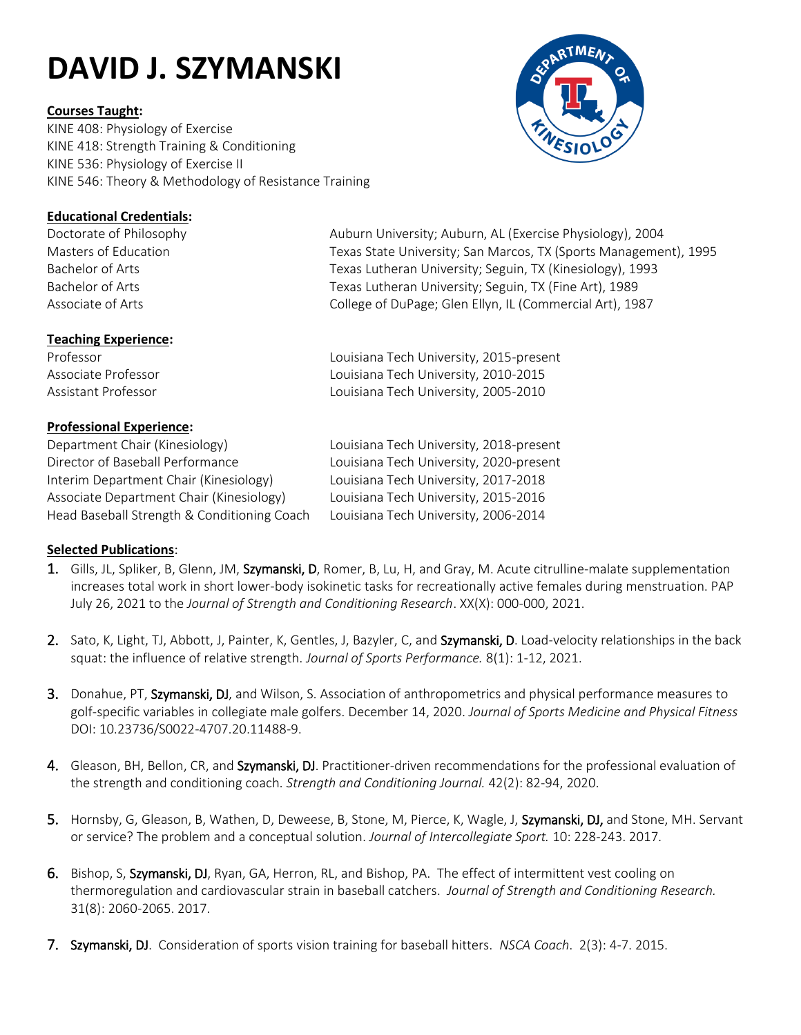# **DAVID J. SZYMANSKI**

### **Courses Taught:**

KINE 408: Physiology of Exercise KINE 418: Strength Training & Conditioning KINE 536: Physiology of Exercise II KINE 546: Theory & Methodology of Resistance Training



# **Educational Credentials:**

# **Teaching Experience:**

# **Professional Experience:**

Department Chair (Kinesiology) Louisiana Tech University, 2018-present Director of Baseball Performance Louisiana Tech University, 2020-present Interim Department Chair (Kinesiology) Associate Department Chair (Kinesiology) Head Baseball Strength & Conditioning Coach

Doctorate of Philosophy **Auburn University; Auburn, AL (Exercise Physiology)**, 2004 Masters of Education Texas State University; San Marcos, TX (Sports Management), 1995 Bachelor of Arts Texas Lutheran University; Seguin, TX (Kinesiology), 1993 Bachelor of Arts Texas Lutheran University; Seguin, TX (Fine Art), 1989 Associate of Arts **College of DuPage; Glen Ellyn, IL (Commercial Art)**, 1987

Professor Louisiana Tech University, 2015-present Associate Professor Louisiana Tech University, 2010-2015 Assistant Professor **Louisiana Tech University, 2005-2010** 

| Louisiana Tech University, 2018-presen |
|----------------------------------------|
| Louisiana Tech University, 2020-presen |
| Louisiana Tech University, 2017-2018   |
| Louisiana Tech University, 2015-2016   |
| Louisiana Tech University, 2006-2014   |

# **Selected Publications**:

- 1. Gills, JL, Spliker, B, Glenn, JM, Szymanski, D, Romer, B, Lu, H, and Gray, M. Acute citrulline-malate supplementation increases total work in short lower-body isokinetic tasks for recreationally active females during menstruation. PAP July 26, 2021 to the *Journal of Strength and Conditioning Research*. XX(X): 000-000, 2021.
- 2. Sato, K, Light, TJ, Abbott, J, Painter, K, Gentles, J, Bazyler, C, and Szymanski, D. Load-velocity relationships in the back squat: the influence of relative strength. *Journal of Sports Performance.* 8(1): 1-12, 2021.
- 3. Donahue, PT, Szymanski, DJ, and Wilson, S. Association of anthropometrics and physical performance measures to golf-specific variables in collegiate male golfers. December 14, 2020. *Journal of Sports Medicine and Physical Fitness* DOI: 10.23736/S0022-4707.20.11488-9.
- 4. Gleason, BH, Bellon, CR, and Szymanski, DJ. Practitioner-driven recommendations for the professional evaluation of the strength and conditioning coach. *Strength and Conditioning Journal.* 42(2): 82-94, 2020.
- 5. Hornsby, G, Gleason, B, Wathen, D, Deweese, B, Stone, M, Pierce, K, Wagle, J, Szymanski, DJ, and Stone, MH. Servant or service? The problem and a conceptual solution. *Journal of Intercollegiate Sport.* 10: 228-243. 2017.
- 6. Bishop, S, Szymanski, DJ, Ryan, GA, Herron, RL, and Bishop, PA. The effect of intermittent vest cooling on thermoregulation and cardiovascular strain in baseball catchers. *Journal of Strength and Conditioning Research.* 31(8): 2060-2065. 2017.
- 7. Szymanski, DJ. Consideration of sports vision training for baseball hitters. *NSCA Coach*. 2(3): 4-7. 2015.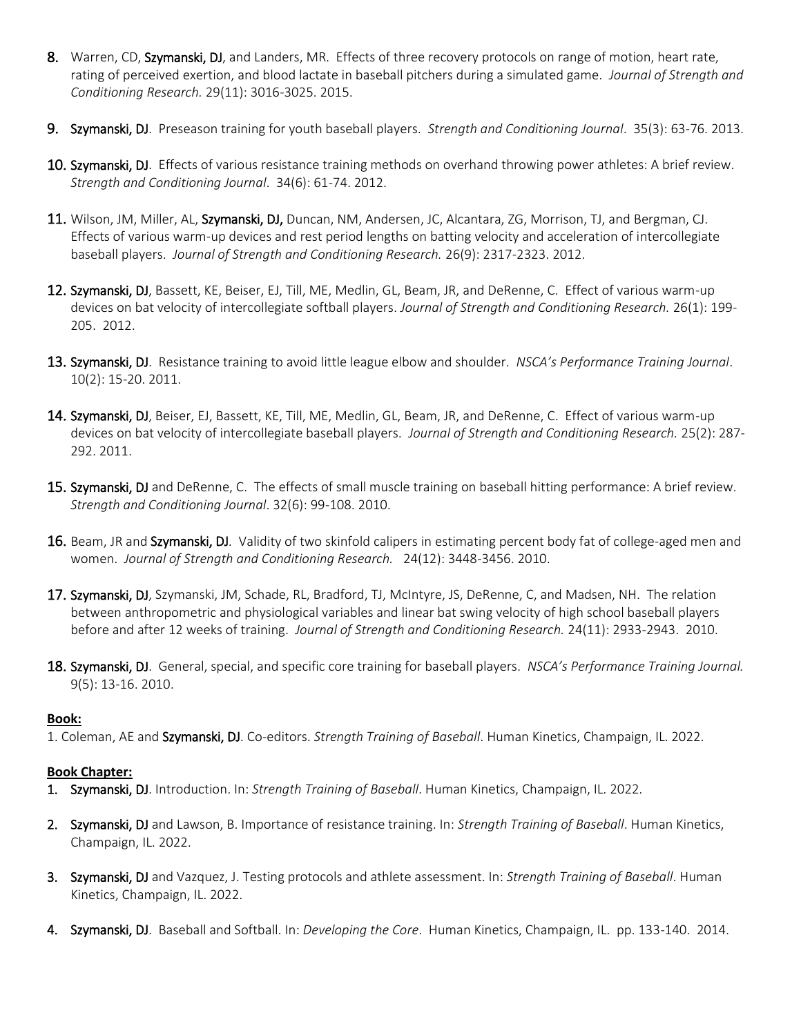- 8. Warren, CD, Szymanski, DJ, and Landers, MR. Effects of three recovery protocols on range of motion, heart rate, rating of perceived exertion, and blood lactate in baseball pitchers during a simulated game. *Journal of Strength and Conditioning Research.* 29(11): 3016-3025. 2015.
- 9. Szymanski, DJ. Preseason training for youth baseball players. *Strength and Conditioning Journal*. 35(3): 63-76. 2013.
- 10. Szymanski, DJ. Effects of various resistance training methods on overhand throwing power athletes: A brief review. *Strength and Conditioning Journal*. 34(6): 61-74. 2012.
- 11. Wilson, JM, Miller, AL, Szymanski, DJ, Duncan, NM, Andersen, JC, Alcantara, ZG, Morrison, TJ, and Bergman, CJ. Effects of various warm-up devices and rest period lengths on batting velocity and acceleration of intercollegiate baseball players. *Journal of Strength and Conditioning Research.* 26(9): 2317-2323. 2012.
- 12. Szymanski, DJ, Bassett, KE, Beiser, EJ, Till, ME, Medlin, GL, Beam, JR, and DeRenne, C. Effect of various warm-up devices on bat velocity of intercollegiate softball players. *Journal of Strength and Conditioning Research.* 26(1): 199- 205. 2012.
- 13. Szymanski, DJ. Resistance training to avoid little league elbow and shoulder. *NSCA's Performance Training Journal*. 10(2): 15-20. 2011.
- 14. Szymanski, DJ, Beiser, EJ, Bassett, KE, Till, ME, Medlin, GL, Beam, JR, and DeRenne, C. Effect of various warm-up devices on bat velocity of intercollegiate baseball players. *Journal of Strength and Conditioning Research.* 25(2): 287- 292. 2011.
- 15. Szymanski, DJ and DeRenne, C. The effects of small muscle training on baseball hitting performance: A brief review. *Strength and Conditioning Journal*. 32(6): 99-108. 2010.
- **16.** Beam, JR and Szymanski, DJ. Validity of two skinfold calipers in estimating percent body fat of college-aged men and women. *Journal of Strength and Conditioning Research.* 24(12): 3448-3456. 2010.
- 17. Szymanski, DJ, Szymanski, JM, Schade, RL, Bradford, TJ, McIntyre, JS, DeRenne, C, and Madsen, NH. The relation between anthropometric and physiological variables and linear bat swing velocity of high school baseball players before and after 12 weeks of training. *Journal of Strength and Conditioning Research.* 24(11): 2933-2943. 2010.
- 18. Szymanski, DJ. General, special, and specific core training for baseball players. *NSCA's Performance Training Journal.* 9(5): 13-16. 2010.

#### **Book:**

1. Coleman, AE and Szymanski, DJ. Co-editors. *Strength Training of Baseball*. Human Kinetics, Champaign, IL. 2022.

#### **Book Chapter:**

- 1. Szymanski, DJ. Introduction. In: *Strength Training of Baseball*. Human Kinetics, Champaign, IL. 2022.
- 2. Szymanski, DJ and Lawson, B. Importance of resistance training. In: *Strength Training of Baseball*. Human Kinetics, Champaign, IL. 2022.
- 3. Szymanski, DJ and Vazquez, J. Testing protocols and athlete assessment. In: *Strength Training of Baseball*. Human Kinetics, Champaign, IL. 2022.
- 4. Szymanski, DJ. Baseball and Softball. In: *Developing the Core*. Human Kinetics, Champaign, IL. pp. 133-140. 2014.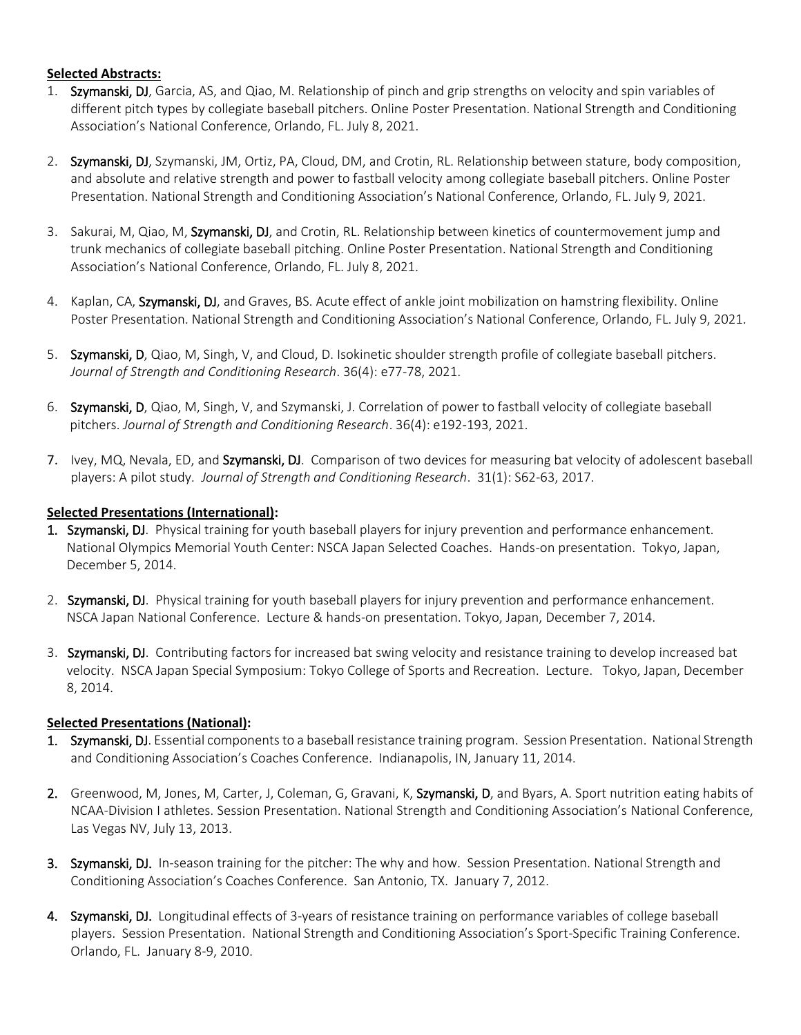## **Selected Abstracts:**

- 1. Szymanski, DJ, Garcia, AS, and Qiao, M. Relationship of pinch and grip strengths on velocity and spin variables of different pitch types by collegiate baseball pitchers. Online Poster Presentation. National Strength and Conditioning Association's National Conference, Orlando, FL. July 8, 2021.
- 2. Szymanski, DJ, Szymanski, JM, Ortiz, PA, Cloud, DM, and Crotin, RL. Relationship between stature, body composition, and absolute and relative strength and power to fastball velocity among collegiate baseball pitchers. Online Poster Presentation. National Strength and Conditioning Association's National Conference, Orlando, FL. July 9, 2021.
- 3. Sakurai, M, Qiao, M, Szymanski, DJ, and Crotin, RL. Relationship between kinetics of countermovement jump and trunk mechanics of collegiate baseball pitching. Online Poster Presentation. National Strength and Conditioning Association's National Conference, Orlando, FL. July 8, 2021.
- 4. Kaplan, CA, Szymanski, DJ, and Graves, BS. Acute effect of ankle joint mobilization on hamstring flexibility. Online Poster Presentation. National Strength and Conditioning Association's National Conference, Orlando, FL. July 9, 2021.
- 5. Szymanski, D, Qiao, M, Singh, V, and Cloud, D. Isokinetic shoulder strength profile of collegiate baseball pitchers. *Journal of Strength and Conditioning Research*. 36(4): e77-78, 2021.
- 6. Szymanski, D, Qiao, M, Singh, V, and Szymanski, J. Correlation of power to fastball velocity of collegiate baseball pitchers. *Journal of Strength and Conditioning Research*. 36(4): e192-193, 2021.
- 7. Ivey, MQ, Nevala, ED, and Szymanski, DJ. Comparison of two devices for measuring bat velocity of adolescent baseball players: A pilot study. *Journal of Strength and Conditioning Research*. 31(1): S62-63, 2017.

### **Selected Presentations (International):**

- 1. Szymanski, DJ. Physical training for youth baseball players for injury prevention and performance enhancement. National Olympics Memorial Youth Center: NSCA Japan Selected Coaches. Hands-on presentation. Tokyo, Japan, December 5, 2014.
- 2. Szymanski, DJ. Physical training for youth baseball players for injury prevention and performance enhancement. NSCA Japan National Conference. Lecture & hands-on presentation. Tokyo, Japan, December 7, 2014.
- 3. Szymanski, DJ. Contributing factors for increased bat swing velocity and resistance training to develop increased bat velocity. NSCA Japan Special Symposium: Tokyo College of Sports and Recreation. Lecture. Tokyo, Japan, December 8, 2014.

#### **Selected Presentations (National):**

- 1. Szymanski, DJ. Essential components to a baseball resistance training program. Session Presentation. National Strength and Conditioning Association's Coaches Conference. Indianapolis, IN, January 11, 2014.
- 2. Greenwood, M, Jones, M, Carter, J, Coleman, G, Gravani, K, Szymanski, D, and Byars, A. Sport nutrition eating habits of NCAA-Division I athletes. Session Presentation. National Strength and Conditioning Association's National Conference, Las Vegas NV, July 13, 2013.
- 3. Szymanski, DJ. In-season training for the pitcher: The why and how. Session Presentation. National Strength and Conditioning Association's Coaches Conference. San Antonio, TX. January 7, 2012.
- 4. Szymanski, DJ. Longitudinal effects of 3-years of resistance training on performance variables of college baseball players. Session Presentation. National Strength and Conditioning Association's Sport-Specific Training Conference. Orlando, FL. January 8-9, 2010.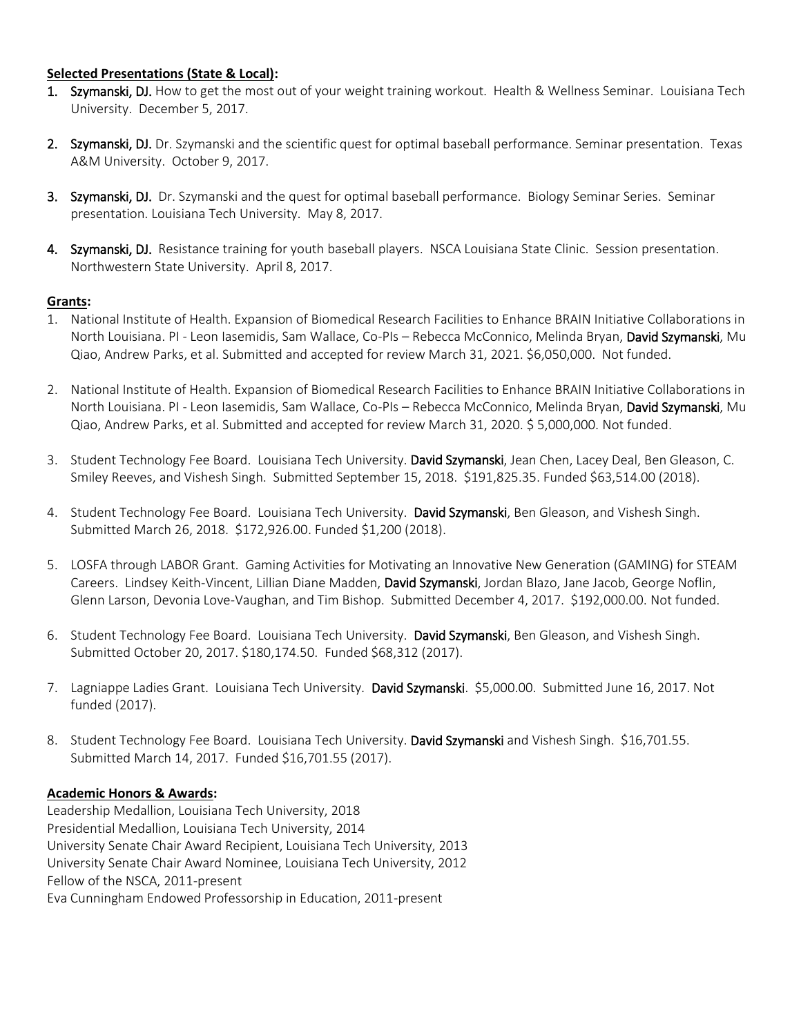#### **Selected Presentations (State & Local):**

- 1. Szymanski, DJ. How to get the most out of your weight training workout. Health & Wellness Seminar. Louisiana Tech University. December 5, 2017.
- 2. Szymanski, DJ. Dr. Szymanski and the scientific quest for optimal baseball performance. Seminar presentation. Texas A&M University. October 9, 2017.
- 3. Szymanski, DJ. Dr. Szymanski and the quest for optimal baseball performance. Biology Seminar Series. Seminar presentation. Louisiana Tech University. May 8, 2017.
- 4. Szymanski, DJ. Resistance training for youth baseball players. NSCA Louisiana State Clinic. Session presentation. Northwestern State University. April 8, 2017.

#### **Grants:**

- 1. National Institute of Health. Expansion of Biomedical Research Facilities to Enhance BRAIN Initiative Collaborations in North Louisiana. PI - Leon Iasemidis, Sam Wallace, Co-PIs - Rebecca McConnico, Melinda Bryan, David Szymanski, Mu Qiao, Andrew Parks, et al. Submitted and accepted for review March 31, 2021. \$6,050,000. Not funded.
- 2. National Institute of Health. Expansion of Biomedical Research Facilities to Enhance BRAIN Initiative Collaborations in North Louisiana. PI - Leon Iasemidis, Sam Wallace, Co-PIs – Rebecca McConnico, Melinda Bryan, David Szymanski, Mu Qiao, Andrew Parks, et al. Submitted and accepted for review March 31, 2020. \$ 5,000,000. Not funded.
- 3. Student Technology Fee Board. Louisiana Tech University. David Szymanski, Jean Chen, Lacey Deal, Ben Gleason, C. Smiley Reeves, and Vishesh Singh. Submitted September 15, 2018. \$191,825.35. Funded \$63,514.00 (2018).
- 4. Student Technology Fee Board. Louisiana Tech University. David Szymanski, Ben Gleason, and Vishesh Singh. Submitted March 26, 2018. \$172,926.00. Funded \$1,200 (2018).
- 5. LOSFA through LABOR Grant. Gaming Activities for Motivating an Innovative New Generation (GAMING) for STEAM Careers. Lindsey Keith-Vincent, Lillian Diane Madden, David Szymanski, Jordan Blazo, Jane Jacob, George Noflin, Glenn Larson, Devonia Love-Vaughan, and Tim Bishop. Submitted December 4, 2017. \$192,000.00. Not funded.
- 6. Student Technology Fee Board. Louisiana Tech University. David Szymanski, Ben Gleason, and Vishesh Singh. Submitted October 20, 2017. \$180,174.50. Funded \$68,312 (2017).
- 7. Lagniappe Ladies Grant. Louisiana Tech University. David Szymanski. \$5,000.00. Submitted June 16, 2017. Not funded (2017).
- 8. Student Technology Fee Board. Louisiana Tech University. David Szymanski and Vishesh Singh. \$16,701.55. Submitted March 14, 2017. Funded \$16,701.55 (2017).

#### **Academic Honors & Awards:**

Leadership Medallion, Louisiana Tech University, 2018 Presidential Medallion, Louisiana Tech University, 2014 University Senate Chair Award Recipient, Louisiana Tech University, 2013 University Senate Chair Award Nominee, Louisiana Tech University, 2012 Fellow of the NSCA, 2011-present Eva Cunningham Endowed Professorship in Education, 2011-present